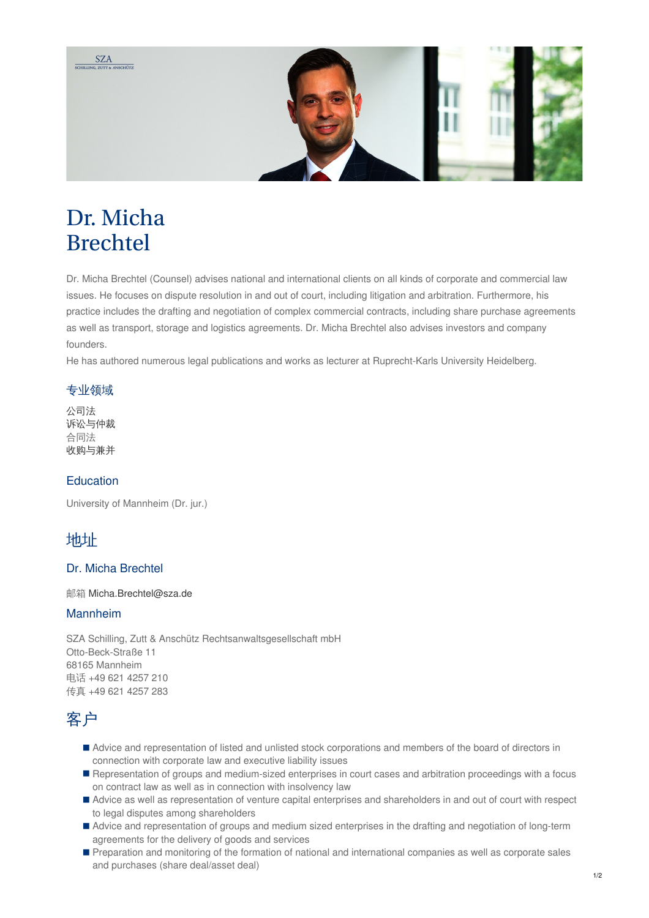

# Dr. Micha Brechtel

Dr. Micha Brechtel (Counsel) advises national and international clients on all kinds of corporate and commercial law issues. He focuses on dispute resolution in and out of court, including litigation and arbitration. Furthermore, his practice includes the drafting and negotiation of complex commercial contracts, including share purchase agreements as well as transport, storage and logistics agreements. Dr. Micha Brechtel also advises investors and company founders.

He has authored numerous legal publications and works as lecturer at Ruprecht-Karls University Heidelberg.

#### 专业领域

[公司法](https://www.sza.de/zh/%E4%B8%9A%E5%8A%A1%E9%A2%86%E5%9F%9F/%E5%85%AC%E5%8F%B8%E6%B3%95/) [诉讼与仲裁](https://www.sza.de/zh/%E4%B8%9A%E5%8A%A1%E9%A2%86%E5%9F%9F/%E8%AF%89%E8%AE%BC%E4%B8%8E%E4%BB%B2%E8%A3%81/) 合同法 [收购与兼并](https://www.sza.de/zh/%E4%B8%9A%E5%8A%A1%E9%A2%86%E5%9F%9F/%E5%85%BC%E5%B9%B6%E4%B8%8E%E6%94%B6%E8%B4%AD/)

#### **Education**

University of Mannheim (Dr. jur.)

### 地址

#### Dr. Micha Brechtel

邮箱 [Micha.Brechtel@sza.de](mailto:Micha.Brechtel@sza.de)

#### Mannheim

SZA Schilling, Zutt & Anschütz Rechtsanwaltsgesellschaft mbH Otto-Beck-Straße 11 68165 Mannheim 电话 +49 621 4257 210 传真 +49 621 4257 283

### 客户

- Advice and representation of listed and unlisted stock corporations and members of the board of directors in connection with corporate law and executive liability issues
- Representation of groups and medium-sized enterprises in court cases and arbitration proceedings with a focus on contract law as well as in connection with insolvency law
- Advice as well as representation of venture capital enterprises and shareholders in and out of court with respect to legal disputes among shareholders
- Advice and representation of groups and medium sized enterprises in the drafting and negotiation of long-term agreements for the delivery of goods and services
- Preparation and monitoring of the formation of national and international companies as well as corporate sales and purchases (share deal/asset deal)